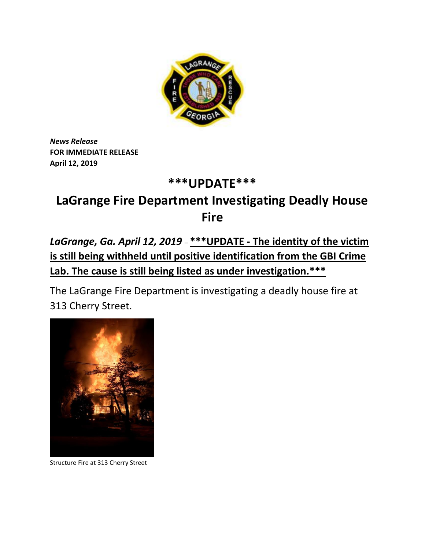

*News Release* **FOR IMMEDIATE RELEASE April 12, 2019**

## **\*\*\*UPDATE\*\*\***

## **LaGrange Fire Department Investigating Deadly House Fire**

*LaGrange, Ga. April 12, 2019* – **\*\*\*UPDATE - The identity of the victim is still being withheld until positive identification from the GBI Crime Lab. The cause is still being listed as under investigation.\*\*\***

The LaGrange Fire Department is investigating a deadly house fire at 313 Cherry Street.



Structure Fire at 313 Cherry Street